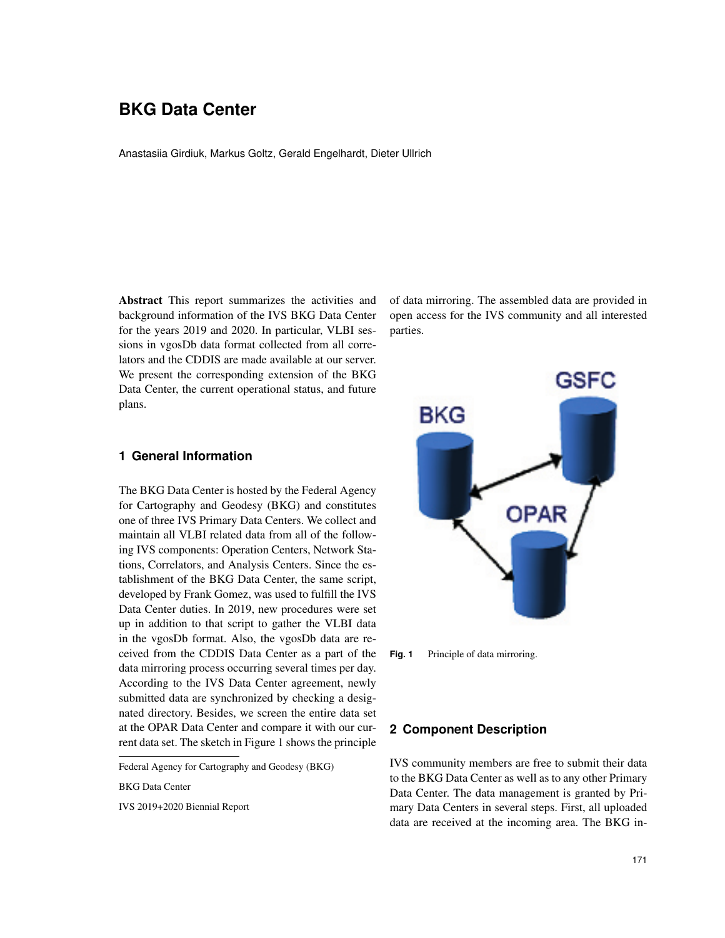# **BKG Data Center**

Anastasiia Girdiuk, Markus Goltz, Gerald Engelhardt, Dieter Ullrich

Abstract This report summarizes the activities and background information of the IVS BKG Data Center for the years 2019 and 2020. In particular, VLBI sessions in vgosDb data format collected from all correlators and the CDDIS are made available at our server. We present the corresponding extension of the BKG Data Center, the current operational status, and future plans.

### **1 General Information**

The BKG Data Center is hosted by the Federal Agency for Cartography and Geodesy (BKG) and constitutes one of three IVS Primary Data Centers. We collect and maintain all VLBI related data from all of the following IVS components: Operation Centers, Network Stations, Correlators, and Analysis Centers. Since the establishment of the BKG Data Center, the same script, developed by Frank Gomez, was used to fulfill the IVS Data Center duties. In 2019, new procedures were set up in addition to that script to gather the VLBI data in the vgosDb format. Also, the vgosDb data are received from the CDDIS Data Center as a part of the data mirroring process occurring several times per day. According to the IVS Data Center agreement, newly submitted data are synchronized by checking a designated directory. Besides, we screen the entire data set at the OPAR Data Center and compare it with our current data set. The sketch in Figure 1 shows the principle

Federal Agency for Cartography and Geodesy (BKG)

BKG Data Center

IVS 2019+2020 Biennial Report

of data mirroring. The assembled data are provided in open access for the IVS community and all interested parties.



**Fig. 1** Principle of data mirroring.

### **2 Component Description**

IVS community members are free to submit their data to the BKG Data Center as well as to any other Primary Data Center. The data management is granted by Primary Data Centers in several steps. First, all uploaded data are received at the incoming area. The BKG in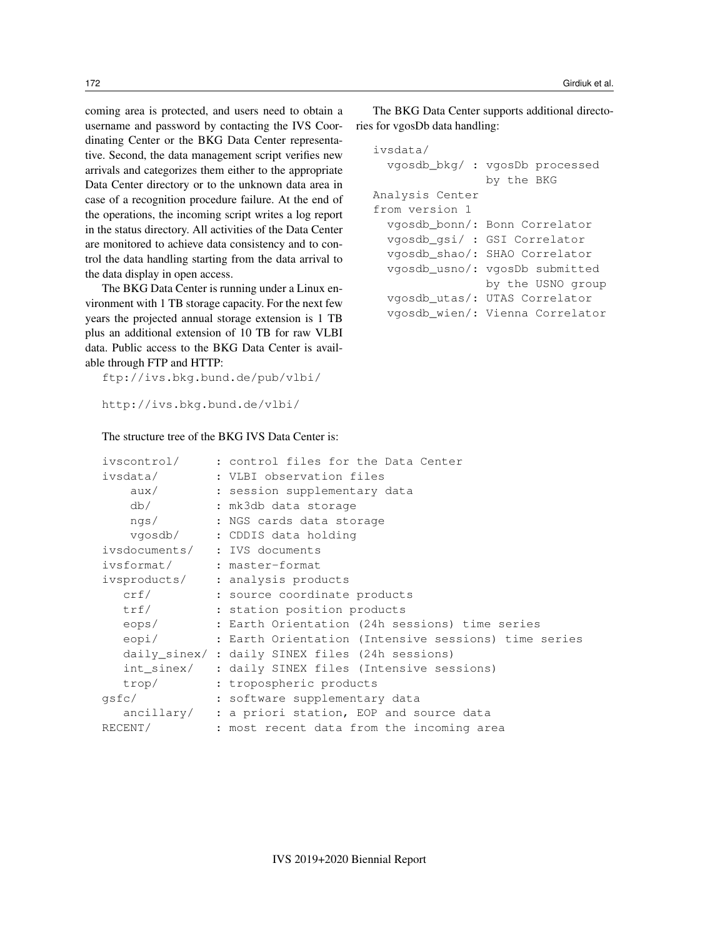coming area is protected, and users need to obtain a username and password by contacting the IVS Coordinating Center or the BKG Data Center representative. Second, the data management script verifies new arrivals and categorizes them either to the appropriate Data Center directory or to the unknown data area in case of a recognition procedure failure. At the end of the operations, the incoming script writes a log report in the status directory. All activities of the Data Center are monitored to achieve data consistency and to control the data handling starting from the data arrival to the data display in open access.

The BKG Data Center is running under a Linux environment with 1 TB storage capacity. For the next few years the projected annual storage extension is 1 TB plus an additional extension of 10 TB for raw VLBI data. Public access to the BKG Data Center is available through FTP and HTTP:

ftp://ivs.bkg.bund.de/pub/vlbi/

```
http://ivs.bkg.bund.de/vlbi/
```
## The structure tree of the BKG IVS Data Center is:

The BKG Data Center supports additional directories for vgosDb data handling:

```
ivsdata/
  vgosdb_bkg/ : vgosDb processed
                by the BKG
Analysis Center
from version 1
  vgosdb_bonn/: Bonn Correlator
  vgosdb_gsi/ : GSI Correlator
  vgosdb_shao/: SHAO Correlator
  vgosdb_usno/: vgosDb submitted
                by the USNO group
  vgosdb_utas/: UTAS Correlator
  vgosdb_wien/: Vienna Correlator
```

| ivscontrol/                   | : control files for the Data Center                        |
|-------------------------------|------------------------------------------------------------|
| ivsdata/                      | : VLBI observation files                                   |
| aux/                          | : session supplementary data                               |
| db/                           | : mk3db data storage                                       |
| ngs/                          | : NGS cards data storage                                   |
|                               | vgosdb/ : CDDIS data holding                               |
| ivsdocuments/ : IVS documents |                                                            |
| ivsformat/ : master-format    |                                                            |
|                               | ivsproducts/ : analysis products                           |
| crf/                          | : source coordinate products                               |
| trf/                          | : station position products                                |
| eops/                         | : Earth Orientation (24h sessions) time series             |
|                               | eopi/ : Earth Orientation (Intensive sessions) time series |
|                               | daily sinex/ : daily SINEX files (24h sessions)            |
|                               | int_sinex/ : daily SINEX files (Intensive sessions)        |
| trop/                         | : tropospheric products                                    |
| qsfc/                         | : software supplementary data                              |
|                               | ancillary/ : a priori station, EOP and source data         |
| RECENT/                       | : most recent data from the incoming area                  |